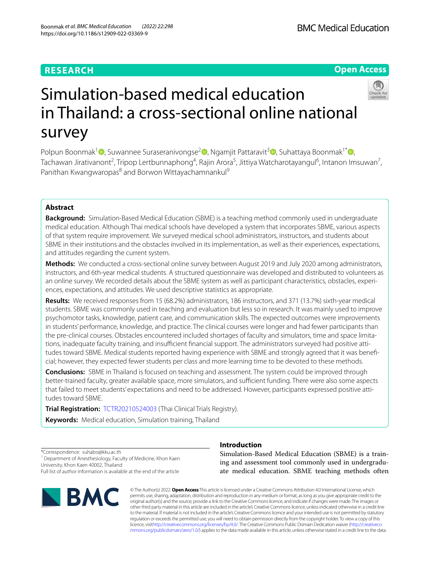# **RESEARCH**

# **Open Access**



# Simulation-based medical education in Thailand: a cross-sectional online national survey

Polpun Boonmak<sup>1</sup> **D**[,](http://orcid.org/0000-0002-9959-4421) Suwannee Suraseranivongse<sup>[2](http://orcid.org/0000-0001-5016-1804)</sup> D, Ngamjit Pattaravit<sup>3</sup> D, Suhattaya Boonmak<sup>1\*</sup> D, Tachawan Jirativanont<sup>2</sup>, Tripop Lertbunnaphong<sup>4</sup>, Rajin Arora<sup>5</sup>, Jittiya Watcharotayangul<sup>6</sup>, Intanon Imsuwan<sup>7</sup>, Panithan Kwangwaropas<sup>8</sup> and Borwon Wittayachamnankul<sup>9</sup>

# **Abstract**

**Background:** Simulation-Based Medical Education (SBME) is a teaching method commonly used in undergraduate medical education. Although Thai medical schools have developed a system that incorporates SBME, various aspects of that system require improvement. We surveyed medical school administrators, instructors, and students about SBME in their institutions and the obstacles involved in its implementation, as well as their experiences, expectations, and attitudes regarding the current system.

**Methods:** We conducted a cross-sectional online survey between August 2019 and July 2020 among administrators, instructors, and 6th-year medical students. A structured questionnaire was developed and distributed to volunteers as an online survey. We recorded details about the SBME system as well as participant characteristics, obstacles, experiences, expectations, and attitudes. We used descriptive statistics as appropriate.

**Results:** We received responses from 15 (68.2%) administrators, 186 instructors, and 371 (13.7%) sixth-year medical students. SBME was commonly used in teaching and evaluation but less so in research. It was mainly used to improve psychomotor tasks, knowledge, patient care, and communication skills. The expected outcomes were improvements in students' performance, knowledge, and practice. The clinical courses were longer and had fewer participants than the pre-clinical courses. Obstacles encountered included shortages of faculty and simulators, time and space limitations, inadequate faculty training, and insufficient financial support. The administrators surveyed had positive attitudes toward SBME. Medical students reported having experience with SBME and strongly agreed that it was benefcial; however, they expected fewer students per class and more learning time to be devoted to these methods.

**Conclusions:** SBME in Thailand is focused on teaching and assessment. The system could be improved through better-trained faculty, greater available space, more simulators, and sufficient funding. There were also some aspects that failed to meet students' expectations and need to be addressed. However, participants expressed positive attitudes toward SBME.

**Trial Registration:** [TCTR20210524003](https://www.thaiclinicaltrials.org) (Thai Clinical Trials Registry).

**Keywords:** Medical education, Simulation training, Thailand

\*Correspondence: suhabo@kku.ac.th <sup>1</sup> Department of Anesthesiology, Faculty of Medicine, Khon Kaen University, Khon Kaen 40002, Thailand Full list of author information is available at the end of the article



# **Introduction**

Simulation-Based Medical Education (SBME) is a training and assessment tool commonly used in undergraduate medical education. SBME teaching methods often

© The Author(s) 2022. **Open Access** This article is licensed under a Creative Commons Attribution 4.0 International License, which permits use, sharing, adaptation, distribution and reproduction in any medium or format, as long as you give appropriate credit to the original author(s) and the source, provide a link to the Creative Commons licence, and indicate if changes were made. The images or other third party material in this article are included in the article's Creative Commons licence, unless indicated otherwise in a credit line to the material. If material is not included in the article's Creative Commons licence and your intended use is not permitted by statutory regulation or exceeds the permitted use, you will need to obtain permission directly from the copyright holder. To view a copy of this licence, visi[thttp://creativecommons.org/licenses/by/4.0/](http://creativecommons.org/licenses/by/4.0/). The Creative Commons Public Domain Dedication waiver [\(http://creativeco](http://creativecommons.org/publicdomain/zero/1.0/) [mmons.org/publicdomain/zero/1.0/](http://creativecommons.org/publicdomain/zero/1.0/)) applies to the data made available in this article, unless otherwise stated in a credit line to the data.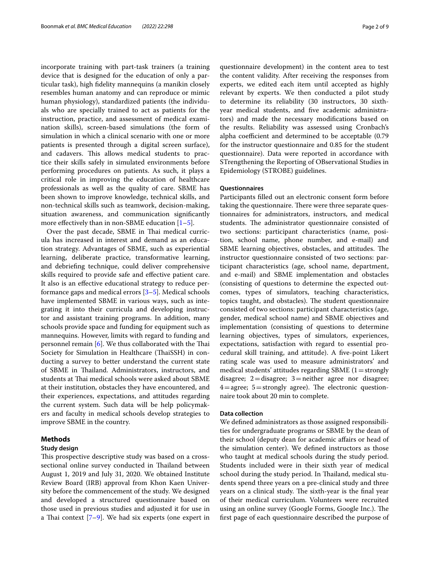incorporate training with part-task trainers (a training device that is designed for the education of only a particular task), high fdelity mannequins (a manikin closely resembles human anatomy and can reproduce or mimic human physiology), standardized patients (the individuals who are specially trained to act as patients for the instruction, practice, and assessment of medical examination skills), screen-based simulations (the form of simulation in which a clinical scenario with one or more patients is presented through a digital screen surface), and cadavers. This allows medical students to practice their skills safely in simulated environments before performing procedures on patients. As such, it plays a critical role in improving the education of healthcare professionals as well as the quality of care. SBME has been shown to improve knowledge, technical skills, and non-technical skills such as teamwork, decision-making, situation awareness, and communication signifcantly more effectively than in non-SBME education  $[1-5]$  $[1-5]$ .

Over the past decade, SBME in Thai medical curricula has increased in interest and demand as an education strategy. Advantages of SBME, such as experiential learning, deliberate practice, transformative learning, and debriefng technique, could deliver comprehensive skills required to provide safe and efective patient care. It also is an efective educational strategy to reduce performance gaps and medical errors [\[3–](#page-8-2)[5\]](#page-8-1). Medical schools have implemented SBME in various ways, such as integrating it into their curricula and developing instructor and assistant training programs. In addition, many schools provide space and funding for equipment such as mannequins. However, limits with regard to funding and personnel remain [\[6](#page-8-3)]. We thus collaborated with the Thai Society for Simulation in Healthcare (ThaiSSH) in conducting a survey to better understand the current state of SBME in Tailand. Administrators, instructors, and students at Thai medical schools were asked about SBME at their institution, obstacles they have encountered, and their experiences, expectations, and attitudes regarding the current system. Such data will be help policymakers and faculty in medical schools develop strategies to improve SBME in the country.

# **Methods**

#### **Study design**

This prospective descriptive study was based on a crosssectional online survey conducted in Thailand between August 1, 2019 and July 31, 2020. We obtained Institute Review Board (IRB) approval from Khon Kaen University before the commencement of the study. We designed and developed a structured questionnaire based on those used in previous studies and adjusted it for use in a Thai context  $[7-9]$  $[7-9]$ . We had six experts (one expert in

questionnaire development) in the content area to test the content validity. After receiving the responses from experts, we edited each item until accepted as highly relevant by experts. We then conducted a pilot study to determine its reliability (30 instructors, 30 sixthyear medical students, and fve academic administrators) and made the necessary modifcations based on the results. Reliability was assessed using Cronbach's alpha coefficient and determined to be acceptable (0.79) for the instructor questionnaire and 0.85 for the student questionnaire). Data were reported in accordance with STrengthening the Reporting of OBservational Studies in Epidemiology (STROBE) guidelines.

# **Questionnaires**

Participants flled out an electronic consent form before taking the questionnaire. There were three separate questionnaires for administrators, instructors, and medical students. The administrator questionnaire consisted of two sections: participant characteristics (name, position, school name, phone number, and e-mail) and SBME learning objectives, obstacles, and attitudes. The instructor questionnaire consisted of two sections: participant characteristics (age, school name, department, and e-mail) and SBME implementation and obstacles (consisting of questions to determine the expected outcomes, types of simulators, teaching characteristics, topics taught, and obstacles). The student questionnaire consisted of two sections: participant characteristics (age, gender, medical school name) and SBME objectives and implementation (consisting of questions to determine learning objectives, types of simulators, experiences, expectations, satisfaction with regard to essential procedural skill training, and attitude). A fve-point Likert rating scale was used to measure administrators' and medical students' attitudes regarding SBME  $(1=$ strongly disagree;  $2 =$ disagree;  $3 =$ neither agree nor disagree;  $4 =$ agree;  $5 =$ strongly agree). The electronic questionnaire took about 20 min to complete.

## **Data collection**

We defned administrators as those assigned responsibilities for undergraduate programs or SBME by the dean of their school (deputy dean for academic afairs or head of the simulation center). We defned instructors as those who taught at medical schools during the study period. Students included were in their sixth year of medical school during the study period. In Thailand, medical students spend three years on a pre-clinical study and three years on a clinical study. The sixth-year is the final year of their medical curriculum. Volunteers were recruited using an online survey (Google Forms, Google Inc.). The frst page of each questionnaire described the purpose of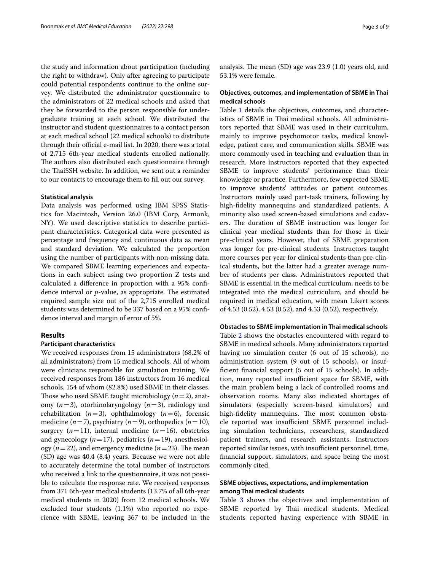the study and information about participation (including the right to withdraw). Only after agreeing to participate could potential respondents continue to the online survey. We distributed the administrator questionnaire to the administrators of 22 medical schools and asked that they be forwarded to the person responsible for undergraduate training at each school. We distributed the instructor and student questionnaires to a contact person at each medical school (22 medical schools) to distribute through their official e-mail list. In 2020, there was a total of 2,715 6th-year medical students enrolled nationally. The authors also distributed each questionnaire through the ThaiSSH website. In addition, we sent out a reminder to our contacts to encourage them to fll out our survey.

#### **Statistical analysis**

Data analysis was performed using IBM SPSS Statistics for Macintosh, Version 26.0 (IBM Corp, Armonk, NY). We used descriptive statistics to describe participant characteristics. Categorical data were presented as percentage and frequency and continuous data as mean and standard deviation. We calculated the proportion using the number of participants with non-missing data. We compared SBME learning experiences and expectations in each subject using two proportion Z tests and calculated a diference in proportion with a 95% confdence interval or *p*-value, as appropriate. The estimated required sample size out of the 2,715 enrolled medical students was determined to be 337 based on a 95% confdence interval and margin of error of 5%.

# **Results**

#### **Participant characteristics**

We received responses from 15 administrators (68.2% of all administrators) from 15 medical schools. All of whom were clinicians responsible for simulation training. We received responses from 186 instructors from 16 medical schools, 154 of whom (82.8%) used SBME in their classes. Those who used SBME taught microbiology  $(n=2)$ , anatomy (*n*=3), otorhinolaryngology (*n*=3), radiology and rehabilitation  $(n=3)$ , ophthalmology  $(n=6)$ , forensic medicine  $(n=7)$ , psychiatry  $(n=9)$ , orthopedics  $(n=10)$ , surgery  $(n=11)$ , internal medicine  $(n=16)$ , obstetrics and gynecology  $(n=17)$ , pediatrics  $(n=19)$ , anesthesiology ( $n=22$ ), and emergency medicine ( $n=23$ ). The mean (SD) age was 40.4 (8.4) years. Because we were not able to accurately determine the total number of instructors who received a link to the questionnaire, it was not possible to calculate the response rate. We received responses from 371 6th-year medical students (13.7% of all 6th-year medical students in 2020) from 12 medical schools. We excluded four students (1.1%) who reported no experience with SBME, leaving 367 to be included in the analysis. The mean  $(SD)$  age was 23.9  $(1.0)$  years old, and 53.1% were female.

# **Objectives, outcomes, and implementation of SBME in Thai medical schools**

Table [1](#page-3-0) details the objectives, outcomes, and characteristics of SBME in Thai medical schools. All administrators reported that SBME was used in their curriculum, mainly to improve psychomotor tasks, medical knowledge, patient care, and communication skills. SBME was more commonly used in teaching and evaluation than in research. More instructors reported that they expected SBME to improve students' performance than their knowledge or practice. Furthermore, few expected SBME to improve students' attitudes or patient outcomes. Instructors mainly used part-task trainers, following by high-fdelity mannequins and standardized patients. A minority also used screen-based simulations and cadavers. The duration of SBME instruction was longer for clinical year medical students than for those in their pre-clinical years. However, that of SBME preparation was longer for pre-clinical students. Instructors taught more courses per year for clinical students than pre-clinical students, but the latter had a greater average number of students per class. Administrators reported that SBME is essential in the medical curriculum, needs to be integrated into the medical curriculum, and should be required in medical education, with mean Likert scores of 4.53 (0.52), 4.53 (0.52), and 4.53 (0.52), respectively.

#### **Obstacles to SBME implementation in Thai medical schools**

Table [2](#page-4-0) shows the obstacles encountered with regard to SBME in medical schools. Many administrators reported having no simulation center (6 out of 15 schools), no administration system (9 out of 15 schools), or insuffcient fnancial support (5 out of 15 schools). In addition, many reported insufficient space for SBME, with the main problem being a lack of controlled rooms and observation rooms. Many also indicated shortages of simulators (especially screen-based simulators) and high-fidelity mannequins. The most common obstacle reported was insufficient SBME personnel including simulation technicians, researchers, standardized patient trainers, and research assistants. Instructors reported similar issues, with insufficient personnel, time, fnancial support, simulators, and space being the most commonly cited.

# **SBME objectives, expectations, and implementation among Thai medical students**

Table [3](#page-5-0) shows the objectives and implementation of SBME reported by Thai medical students. Medical students reported having experience with SBME in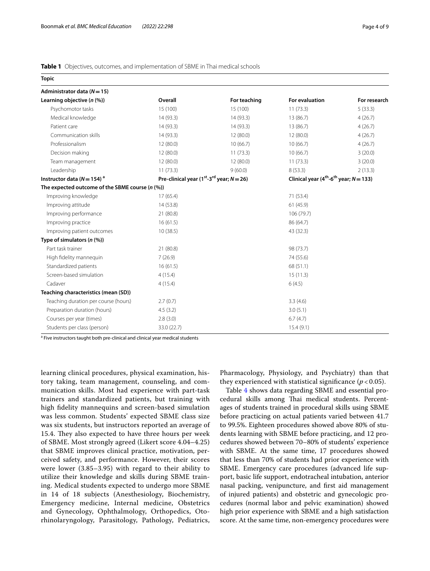# <span id="page-3-0"></span>**Table 1** Objectives, outcomes, and implementation of SBME in Thai medical schools

| <b>Topic</b>                                          |             |                                                                      |                |                                                         |  |
|-------------------------------------------------------|-------------|----------------------------------------------------------------------|----------------|---------------------------------------------------------|--|
| Administrator data ( $N = 15$ )                       |             |                                                                      |                |                                                         |  |
| Learning objective $(n \, (\%))$                      | Overall     | For teaching                                                         | For evaluation | For research                                            |  |
| Psychomotor tasks                                     | 15 (100)    | 15 (100)                                                             | 11(73.3)       | 5(33.3)                                                 |  |
| Medical knowledge                                     | 14 (93.3)   | 14 (93.3)                                                            | 13 (86.7)      | 4(26.7)                                                 |  |
| Patient care                                          | 14 (93.3)   | 14 (93.3)                                                            | 13 (86.7)      | 4(26.7)                                                 |  |
| Communication skills                                  | 14 (93.3)   | 12 (80.0)                                                            | 12(80.0)       | 4(26.7)                                                 |  |
| Professionalism                                       | 12(80.0)    | 10(66.7)                                                             | 10(66.7)       | 4(26.7)                                                 |  |
| Decision making                                       | 12 (80.0)   | 11(73.3)                                                             | 10(66.7)       | 3(20.0)                                                 |  |
| Team management                                       | 12(80.0)    | 12 (80.0)                                                            | 11(73.3)       | 3(20.0)                                                 |  |
| Leadership                                            | 11(73.3)    | 9(60.0)                                                              | 8(53.3)        | 2(13.3)                                                 |  |
| Instructor data ( $N = 154$ ) <sup>a</sup>            |             | Pre-clinical year (1 <sup>st</sup> -3 <sup>rd</sup> year; $N = 26$ ) |                | Clinical year ( $4th$ -6 <sup>th</sup> year; $N$ = 133) |  |
| The expected outcome of the SBME course $(n \, (\%))$ |             |                                                                      |                |                                                         |  |
| Improving knowledge                                   | 17(65.4)    |                                                                      | 71 (53.4)      |                                                         |  |
| Improving attitude                                    | 14 (53.8)   |                                                                      | 61(45.9)       |                                                         |  |
| Improving performance                                 | 21 (80.8)   |                                                                      | 106 (79.7)     |                                                         |  |
| Improving practice                                    | 16(61.5)    |                                                                      | 86 (64.7)      |                                                         |  |
| Improving patient outcomes                            | 10(38.5)    |                                                                      | 43 (32.3)      |                                                         |  |
| Type of simulators $(n \, (\%))$                      |             |                                                                      |                |                                                         |  |
| Part task trainer                                     | 21 (80.8)   |                                                                      | 98 (73.7)      |                                                         |  |
| High fidelity mannequin                               | 7(26.9)     |                                                                      | 74 (55.6)      |                                                         |  |
| Standardized patients                                 | 16(61.5)    |                                                                      | 68 (51.1)      |                                                         |  |
| Screen-based simulation                               | 4(15.4)     |                                                                      | 15(11.3)       |                                                         |  |
| Cadaver                                               | 4(15.4)     |                                                                      | 6(4.5)         |                                                         |  |
| Teaching characteristics (mean (SD))                  |             |                                                                      |                |                                                         |  |
| Teaching duration per course (hours)                  | 2.7(0.7)    |                                                                      | 3.3(4.6)       |                                                         |  |
| Preparation duration (hours)                          | 4.5(3.2)    |                                                                      | 3.0(5.1)       |                                                         |  |
| Courses per year (times)                              | 2.8(3.0)    |                                                                      | 6.7(4.7)       |                                                         |  |
| Students per class (person)                           | 33.0 (22.7) |                                                                      | 15.4(9.1)      |                                                         |  |

<sup>a</sup> Five instructors taught both pre-clinical and clinical year medical students

learning clinical procedures, physical examination, history taking, team management, counseling, and communication skills. Most had experience with part-task trainers and standardized patients, but training with high fdelity mannequins and screen-based simulation was less common. Students' expected SBME class size was six students, but instructors reported an average of 15.4. They also expected to have three hours per week of SBME. Most strongly agreed (Likert score 4.04–4.25) that SBME improves clinical practice, motivation, perceived safety, and performance. However, their scores were lower (3.85–3.95) with regard to their ability to utilize their knowledge and skills during SBME training. Medical students expected to undergo more SBME in 14 of 18 subjects (Anesthesiology, Biochemistry, Emergency medicine, Internal medicine, Obstetrics and Gynecology, Ophthalmology, Orthopedics, Otorhinolaryngology, Parasitology, Pathology, Pediatrics,

Pharmacology, Physiology, and Psychiatry) than that they experienced with statistical significance  $(p < 0.05)$ .

Table [4](#page-6-0) shows data regarding SBME and essential procedural skills among Thai medical students. Percentages of students trained in procedural skills using SBME before practicing on actual patients varied between 41.7 to 99.5%. Eighteen procedures showed above 80% of students learning with SBME before practicing, and 12 procedures showed between 70–80% of students' experience with SBME. At the same time, 17 procedures showed that less than 70% of students had prior experience with SBME. Emergency care procedures (advanced life support, basic life support, endotracheal intubation, anterior nasal packing, venipuncture, and frst aid management of injured patients) and obstetric and gynecologic procedures (normal labor and pelvic examination) showed high prior experience with SBME and a high satisfaction score. At the same time, non-emergency procedures were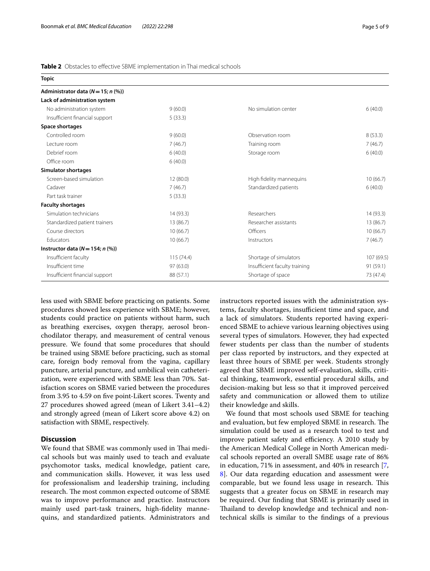## <span id="page-4-0"></span>**Table 2** Obstacles to effective SBME implementation in Thai medical schools

| <b>Topic</b>                           |           |                               |            |
|----------------------------------------|-----------|-------------------------------|------------|
| Administrator data ( $N = 15$ ; n (%)) |           |                               |            |
| Lack of administration system          |           |                               |            |
| No administration system               | 9(60.0)   | No simulation center          | 6(40.0)    |
| Insufficient financial support         | 5(33.3)   |                               |            |
| Space shortages                        |           |                               |            |
| Controlled room                        | 9(60.0)   | Observation room              | 8(53.3)    |
| Lecture room                           | 7(46.7)   | Training room                 | 7(46.7)    |
| Debrief room                           | 6(40.0)   | Storage room                  | 6(40.0)    |
| Office room                            | 6(40.0)   |                               |            |
| <b>Simulator shortages</b>             |           |                               |            |
| Screen-based simulation                | 12 (80.0) | High fidelity mannequins      | 10(66.7)   |
| Cadaver                                | 7(46.7)   | Standardized patients         | 6(40.0)    |
| Part task trainer                      | 5(33.3)   |                               |            |
| <b>Faculty shortages</b>               |           |                               |            |
| Simulation technicians                 | 14 (93.3) | Researchers                   | 14(93.3)   |
| Standardized patient trainers          | 13 (86.7) | Researcher assistants         | 13 (86.7)  |
| Course directors                       | 10(66.7)  | Officers                      | 10(66.7)   |
| Educators                              | 10(66.7)  | Instructors                   | 7(46.7)    |
| Instructor data ( $N = 154$ ; n (%))   |           |                               |            |
| Insufficient faculty                   | 115(74.4) | Shortage of simulators        | 107 (69.5) |
| Insufficient time                      | 97 (63.0) | Insufficient faculty training | 91(59.1)   |
| Insufficient financial support         | 88 (57.1) | Shortage of space             | 73 (47.4)  |

less used with SBME before practicing on patients. Some procedures showed less experience with SBME; however, students could practice on patients without harm, such as breathing exercises, oxygen therapy, aerosol bronchodilator therapy, and measurement of central venous pressure. We found that some procedures that should be trained using SBME before practicing, such as stomal care, foreign body removal from the vagina, capillary puncture, arterial puncture, and umbilical vein catheterization, were experienced with SBME less than 70%. Satisfaction scores on SBME varied between the procedures from 3.95 to 4.59 on fve point-Likert scores. Twenty and 27 procedures showed agreed (mean of Likert 3.41–4.2) and strongly agreed (mean of Likert score above 4.2) on satisfaction with SBME, respectively.

#### **Discussion**

We found that SBME was commonly used in Thai medical schools but was mainly used to teach and evaluate psychomotor tasks, medical knowledge, patient care, and communication skills. However, it was less used for professionalism and leadership training, including research. The most common expected outcome of SBME was to improve performance and practice. Instructors mainly used part-task trainers, high-fdelity mannequins, and standardized patients. Administrators and instructors reported issues with the administration systems, faculty shortages, insufficient time and space, and a lack of simulators. Students reported having experienced SBME to achieve various learning objectives using several types of simulators. However, they had expected fewer students per class than the number of students per class reported by instructors, and they expected at least three hours of SBME per week. Students strongly agreed that SBME improved self-evaluation, skills, critical thinking, teamwork, essential procedural skills, and decision-making but less so that it improved perceived safety and communication or allowed them to utilize their knowledge and skills.

We found that most schools used SBME for teaching and evaluation, but few employed SBME in research. The simulation could be used as a research tool to test and improve patient safety and efficiency. A 2010 study by the American Medical College in North American medical schools reported an overall SMBE usage rate of 86% in education, 71% in assessment, and 40% in research [\[7](#page-8-4), [8\]](#page-8-6). Our data regarding education and assessment were comparable, but we found less usage in research. This suggests that a greater focus on SBME in research may be required. Our fnding that SBME is primarily used in Thailand to develop knowledge and technical and nontechnical skills is similar to the fndings of a previous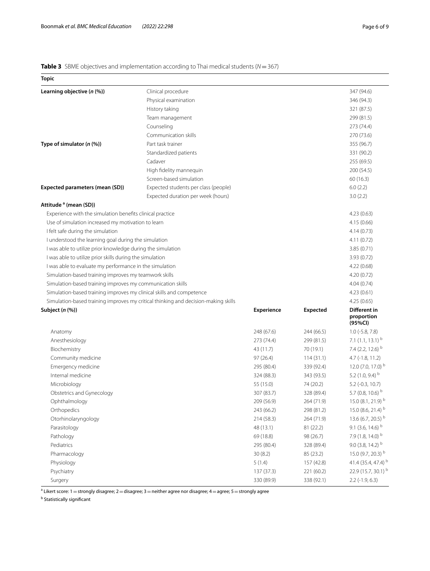# <span id="page-5-0"></span>**Table 3** SBME objectives and implementation according to Thai medical students (*N*=367)

| <b>Topic</b>                                                         |                                                                                    |            |                 |                                       |
|----------------------------------------------------------------------|------------------------------------------------------------------------------------|------------|-----------------|---------------------------------------|
| Learning objective (n (%))                                           | Clinical procedure                                                                 |            |                 | 347 (94.6)                            |
|                                                                      | Physical examination                                                               |            |                 | 346 (94.3)                            |
|                                                                      | History taking                                                                     |            |                 | 321 (87.5)                            |
|                                                                      | Team management                                                                    |            |                 | 299 (81.5)                            |
|                                                                      | Counseling                                                                         |            |                 | 273 (74.4)                            |
|                                                                      | Communication skills                                                               |            |                 | 270 (73.6)                            |
| Type of simulator $(n \, (\%))$                                      | Part task trainer                                                                  |            |                 | 355 (96.7)                            |
|                                                                      | Standardized patients                                                              |            |                 | 331 (90.2)                            |
|                                                                      | Cadaver                                                                            |            |                 | 255 (69.5)                            |
|                                                                      | High fidelity mannequin                                                            |            |                 | 200 (54.5)                            |
|                                                                      | Screen-based simulation                                                            |            |                 | 60(16.3)                              |
| Expected parameters (mean (SD))                                      | Expected students per class (people)                                               |            |                 | 6.0(2.2)                              |
|                                                                      | Expected duration per week (hours)                                                 |            |                 | 3.0(2.2)                              |
| Attitude <sup>a</sup> (mean (SD))                                    |                                                                                    |            |                 |                                       |
| Experience with the simulation benefits clinical practice            |                                                                                    |            |                 | 4.23(0.63)                            |
| Use of simulation increased my motivation to learn                   |                                                                                    |            |                 | 4.15 (0.66)                           |
| I felt safe during the simulation                                    |                                                                                    |            |                 | 4.14(0.73)                            |
| I understood the learning goal during the simulation                 |                                                                                    |            |                 | 4.11(0.72)                            |
| I was able to utilize prior knowledge during the simulation          |                                                                                    |            |                 | 3.85 (0.71)                           |
| I was able to utilize prior skills during the simulation             |                                                                                    |            |                 | 3.93 (0.72)                           |
| I was able to evaluate my performance in the simulation              |                                                                                    |            |                 | 4.22(0.68)                            |
| Simulation-based training improves my teamwork skills                |                                                                                    |            |                 |                                       |
| Simulation-based training improves my communication skills           |                                                                                    |            |                 | 4.04(0.74)                            |
| Simulation-based training improves my clinical skills and competence |                                                                                    |            |                 | 4.23(0.61)                            |
|                                                                      | Simulation-based training improves my critical thinking and decision-making skills |            |                 | 4.25(0.65)                            |
| Subject (n (%))                                                      |                                                                                    | Experience | <b>Expected</b> | Different in<br>proportion<br>(95%CI) |
| Anatomy                                                              |                                                                                    | 248 (67.6) | 244 (66.5)      | $1.0$ ( $-5.8$ , $7.8$ )              |
| Anesthesiology                                                       |                                                                                    | 273 (74.4) | 299 (81.5)      | 7.1 $(1.1, 13.1)$ <sup>b</sup>        |
| Biochemistry                                                         |                                                                                    | 43 (11.7)  | 70 (19.1)       | 7.4 (2.2, 12.6) b                     |
| Community medicine                                                   |                                                                                    | 97 (26.4)  | 114(31.1)       | 4.7 (-1.8, 11.2)                      |
| Emergency medicine                                                   |                                                                                    | 295 (80.4) | 339 (92.4)      | 12.0 $(7.0, 17.0)^{b}$                |
| Internal medicine                                                    |                                                                                    | 324 (88.3) | 343 (93.5)      | 5.2 (1.0, 9.4) $^{\rm b}$             |
| Microbiology                                                         |                                                                                    | 55 (15.0)  | 74 (20.2)       | $5.2$ (-0.3, 10.7)                    |
| Obstetrics and Gynecology                                            |                                                                                    | 307 (83.7) | 328 (89.4)      | 5.7 (0.8, 10.6) b                     |
| Ophthalmology                                                        |                                                                                    | 209 (56.9) | 264 (71.9)      | 15.0 (8.1, 21.9) b                    |
| Orthopedics                                                          |                                                                                    | 243 (66.2) | 298 (81.2)      | 15.0 (8.6, 21.4) b                    |
| Otorhinolaryngology                                                  |                                                                                    | 214 (58.3) | 264 (71.9)      | 13.6 (6.7, 20.5) b                    |
| Parasitology                                                         |                                                                                    | 48 (13.1)  | 81 (22.2)       | 9.1 (3.6, 14.6) b                     |
| Pathology                                                            |                                                                                    | 69 (18.8)  | 98 (26.7)       | 7.9 (1.8, 14.0) b                     |
| Pediatrics                                                           |                                                                                    | 295 (80.4) | 328 (89.4)      | 9.0 (3.8, 14.2) $b$                   |
| Pharmacology                                                         |                                                                                    | 30(8.2)    | 85 (23.2)       | 15.0 (9.7, 20.3) b                    |
| Physiology                                                           |                                                                                    | 5(1.4)     | 157 (42.8)      | 41.4 (35.4, 47.4) b                   |
| Psychiatry                                                           |                                                                                    | 137 (37.3) | 221 (60.2)      | 22.9 (15.7, 30.1) b                   |
| Surgery                                                              |                                                                                    | 330 (89.9) | 338 (92.1)      | $2.2$ (-1.9, 6.3)                     |

 $^{\rm a}$  Likert score: 1  $=$  strongly disagree; 2  $=$  disagree; 3  $=$  neither agree nor disagree; 4  $=$  agree; 5  $=$  strongly agree

<sup>b</sup> Statistically significant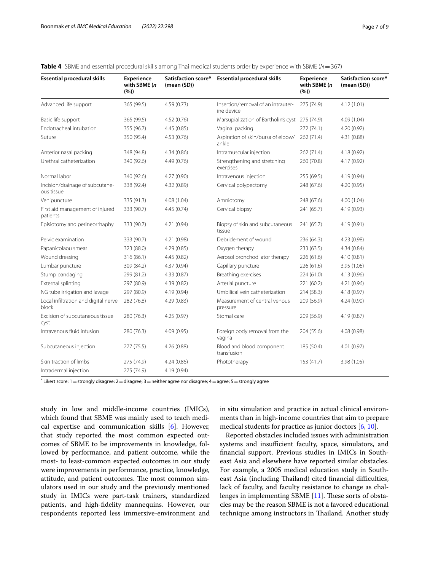| <b>Essential procedural skills</b>            | Experience<br>with SBME (n<br>(%) | (mean (SD)) | Satisfaction score* Essential procedural skills  | Experience<br>with SBME (n<br>(96) | Satisfaction score*<br>(mean (SD)) |
|-----------------------------------------------|-----------------------------------|-------------|--------------------------------------------------|------------------------------------|------------------------------------|
| Advanced life support                         | 365 (99.5)                        | 4.59(0.73)  | Insertion/removal of an intrauter-<br>ine device | 275 (74.9)                         | 4.12(1.01)                         |
| Basic life support                            | 365 (99.5)                        | 4.52(0.76)  | Marsupialization of Bartholin's cyst 275 (74.9)  |                                    | 4.09 (1.04)                        |
| Endotracheal intubation                       | 355 (96.7)                        | 4.45(0.85)  | Vaginal packing                                  | 272 (74.1)                         | 4.20(0.92)                         |
| Suture                                        | 350 (95.4)                        | 4.53(0.76)  | Aspiration of skin/bursa of elbow/<br>ankle      | 262 (71.4)                         | 4.31 (0.88)                        |
| Anterior nasal packing                        | 348 (94.8)                        | 4.34(0.86)  | Intramuscular injection                          | 262 (71.4)                         | 4.18(0.92)                         |
| Urethral catheterization                      | 340 (92.6)                        | 4.49(0.76)  | Strengthening and stretching<br>exercises        | 260 (70.8)                         | 4.17 (0.92)                        |
| Normal labor                                  | 340 (92.6)                        | 4.27(0.90)  | Intravenous injection                            | 255 (69.5)                         | 4.19(0.94)                         |
| Incision/drainage of subcutane-<br>ous tissue | 338 (92.4)                        | 4.32 (0.89) | Cervical polypectomy                             | 248 (67.6)                         | 4.20(0.95)                         |
| Venipuncture                                  | 335 (91.3)                        | 4.08(1.04)  | Amniotomy                                        | 248 (67.6)                         | 4.00(1.04)                         |
| First aid management of injured<br>patients   | 333 (90.7)                        | 4.45(0.74)  | Cervical biopsy                                  | 241 (65.7)                         | 4.19 (0.93)                        |
| Episiotomy and perineorrhaphy                 | 333 (90.7)                        | 4.21 (0.94) | Biopsy of skin and subcutaneous<br>tissue        | 241 (65.7)                         | 4.19 (0.91)                        |
| Pelvic examination                            | 333 (90.7)                        | 4.21 (0.98) | Debridement of wound                             | 236 (64.3)                         | 4.23 (0.98)                        |
| Papanicolaou smear                            | 323 (88.0)                        | 4.29(0.85)  | Oxygen therapy                                   | 233(63.5)                          | 4.34 (0.84)                        |
| Wound dressing                                | 316 (86.1)                        | 4.45(0.82)  | Aerosol bronchodilator therapy                   | 226 (61.6)                         | 4.10(0.81)                         |
| Lumbar puncture                               | 309 (84.2)                        | 4.37(0.94)  | Capillary puncture                               | 226(61.6)                          | 3.95 (1.06)                        |
| Stump bandaging                               | 299 (81.2)                        | 4.33(0.87)  | Breathing exercises                              | 224(61.0)                          | 4.13 (0.96)                        |
| External splinting                            | 297 (80.9)                        | 4.39(0.82)  | Arterial puncture                                | 221 (60.2)                         | 4.21 (0.96)                        |
| NG tube irrigation and lavage                 | 297 (80.9)                        | 4.19(0.94)  | Umbilical vein catheterization                   | 214 (58.3)                         | 4.18(0.97)                         |
| Local infiltration and digital nerve<br>block | 282 (76.8)                        | 4.29(0.83)  | Measurement of central venous<br>pressure        | 209 (56.9)                         | 4.24 (0.90)                        |
| Excision of subcutaneous tissue<br>cyst       | 280 (76.3)                        | 4.25(0.97)  | Stomal care                                      | 209 (56.9)                         | 4.19 (0.87)                        |
| Intravenous fluid infusion                    | 280 (76.3)                        | 4.09(0.95)  | Foreign body removal from the<br>vagina          | 204 (55.6)                         | 4.08 (0.98)                        |
| Subcutaneous injection                        | 277 (75.5)                        | 4.26(0.88)  | Blood and blood component<br>transfusion         | 185 (50.4)                         | 4.01 (0.97)                        |
| Skin traction of limbs                        | 275 (74.9)                        | 4.24(0.86)  | Phototherapy                                     | 153 (41.7)                         | 3.98 (1.05)                        |
| Intradermal injection                         | 275 (74.9)                        | 4.19 (0.94) |                                                  |                                    |                                    |

<span id="page-6-0"></span>

|  |  | Table 4 SBME and essential procedural skills among Thai medical students order by experience with SBME (N=367) |  |  |  |
|--|--|----------------------------------------------------------------------------------------------------------------|--|--|--|
|--|--|----------------------------------------------------------------------------------------------------------------|--|--|--|

 $^{*}$  Likert score: 1  $=$  strongly disagree; 2  $=$  disagree; 3  $=$  neither agree nor disagree; 4  $=$  agree; 5  $=$  strongly agree

study in low and middle-income countries (IMICs), which found that SBME was mainly used to teach medical expertise and communication skills [\[6](#page-8-3)]. However, that study reported the most common expected outcomes of SBME to be improvements in knowledge, followed by performance, and patient outcome, while the most- to least-common expected outcomes in our study were improvements in performance, practice, knowledge, attitude, and patient outcomes. The most common simulators used in our study and the previously mentioned study in IMICs were part-task trainers, standardized patients, and high-fdelity mannequins. However, our respondents reported less immersive-environment and in situ simulation and practice in actual clinical environments than in high-income countries that aim to prepare medical students for practice as junior doctors [\[6](#page-8-3), [10\]](#page-8-7).

Reported obstacles included issues with administration systems and insufficient faculty, space, simulators, and fnancial support. Previous studies in IMICs in Southeast Asia and elsewhere have reported similar obstacles. For example, a 2005 medical education study in Southeast Asia (including Thailand) cited financial difficulties, lack of faculty, and faculty resistance to change as chal-lenges in implementing SBME [\[11\]](#page-8-8). These sorts of obstacles may be the reason SBME is not a favored educational technique among instructors in Thailand. Another study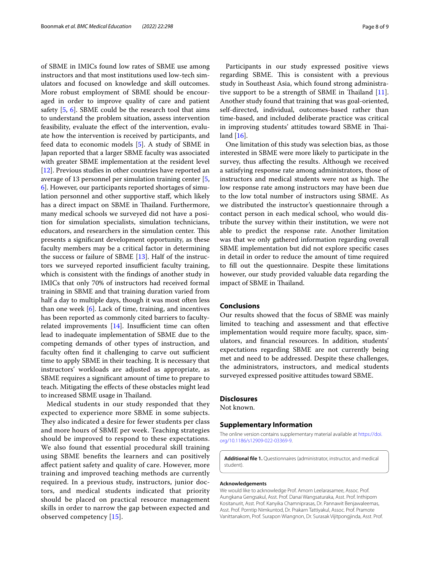of SBME in IMICs found low rates of SBME use among instructors and that most institutions used low-tech simulators and focused on knowledge and skill outcomes. More robust employment of SBME should be encouraged in order to improve quality of care and patient safety [[5](#page-8-1), [6\]](#page-8-3). SBME could be the research tool that aims to understand the problem situation, assess intervention feasibility, evaluate the efect of the intervention, evaluate how the intervention is received by participants, and feed data to economic models [\[5\]](#page-8-1). A study of SBME in Japan reported that a larger SBME faculty was associated with greater SBME implementation at the resident level [[12\]](#page-8-9). Previous studies in other countries have reported an average of 13 personnel per simulation training center [\[5](#page-8-1), [6\]](#page-8-3). However, our participants reported shortages of simulation personnel and other supportive staf, which likely has a direct impact on SBME in Thailand. Furthermore, many medical schools we surveyed did not have a position for simulation specialists, simulation technicians, educators, and researchers in the simulation center. This presents a signifcant development opportunity, as these faculty members may be a critical factor in determining the success or failure of SBME [\[13](#page-8-10)]. Half of the instructors we surveyed reported insufficient faculty training, which is consistent with the fndings of another study in IMICs that only 70% of instructors had received formal training in SBME and that training duration varied from half a day to multiple days, though it was most often less than one week  $[6]$  $[6]$ . Lack of time, training, and incentives has been reported as commonly cited barriers to facultyrelated improvements  $[14]$  $[14]$ . Insufficient time can often lead to inadequate implementation of SBME due to the competing demands of other types of instruction, and faculty often find it challenging to carve out sufficient time to apply SBME in their teaching. It is necessary that instructors' workloads are adjusted as appropriate, as SBME requires a signifcant amount of time to prepare to teach. Mitigating the efects of these obstacles might lead to increased SBME usage in Thailand.

Medical students in our study responded that they expected to experience more SBME in some subjects. They also indicated a desire for fewer students per class and more hours of SBME per week. Teaching strategies should be improved to respond to these expectations. We also found that essential procedural skill training using SBME benefts the learners and can positively afect patient safety and quality of care. However, more training and improved teaching methods are currently required. In a previous study, instructors, junior doctors, and medical students indicated that priority should be placed on practical resource management skills in order to narrow the gap between expected and observed competency [[15\]](#page-8-12).

Participants in our study expressed positive views regarding SBME. This is consistent with a previous study in Southeast Asia, which found strong administrative support to be a strength of SBME in Thailand  $[11]$  $[11]$ . Another study found that training that was goal-oriented, self-directed, individual, outcomes-based rather than time-based, and included deliberate practice was critical in improving students' attitudes toward SBME in Thailand [\[16\]](#page-8-13).

One limitation of this study was selection bias, as those interested in SBME were more likely to participate in the survey, thus afecting the results. Although we received a satisfying response rate among administrators, those of instructors and medical students were not as high. The low response rate among instructors may have been due to the low total number of instructors using SBME. As we distributed the instructor's questionnaire through a contact person in each medical school, who would distribute the survey within their institution, we were not able to predict the response rate. Another limitation was that we only gathered information regarding overall SBME implementation but did not explore specifc cases in detail in order to reduce the amount of time required to fll out the questionnaire. Despite these limitations however, our study provided valuable data regarding the impact of SBME in Thailand.

# **Conclusions**

Our results showed that the focus of SBME was mainly limited to teaching and assessment and that efective implementation would require more faculty, space, simulators, and fnancial resources. In addition, students' expectations regarding SBME are not currently being met and need to be addressed. Despite these challenges, the administrators, instructors, and medical students surveyed expressed positive attitudes toward SBME.

# **Disclosures**

Not known.

# **Supplementary Information**

The online version contains supplementary material available at [https://doi.](https://doi.org/10.1186/s12909-022-03369-9) [org/10.1186/s12909-022-03369-9](https://doi.org/10.1186/s12909-022-03369-9).

**Additional fle 1.** Questionnaires (administrator, instructor, and medical student).

#### **Acknowledgements**

We would like to acknowledge Prof. Amorn Leelarasamee, Assoc. Prof. Aungkana Gengsakul, Asst. Prof. Danai Wangsaturaka, Asst. Prof. Inthiporn Kositanurit, Asst. Prof. Kanyika Chamniprasas, Dr. Pannawit Benjawaleemas, Asst. Prof. Porntip Nimkuntod, Dr. Prakarn Tattiyakul, Assoc. Prof. Pramote Vanittanakom, Prof. Surapon Wiangnon, Dr. Surasak Vijitpongjinda, Asst. Prof.